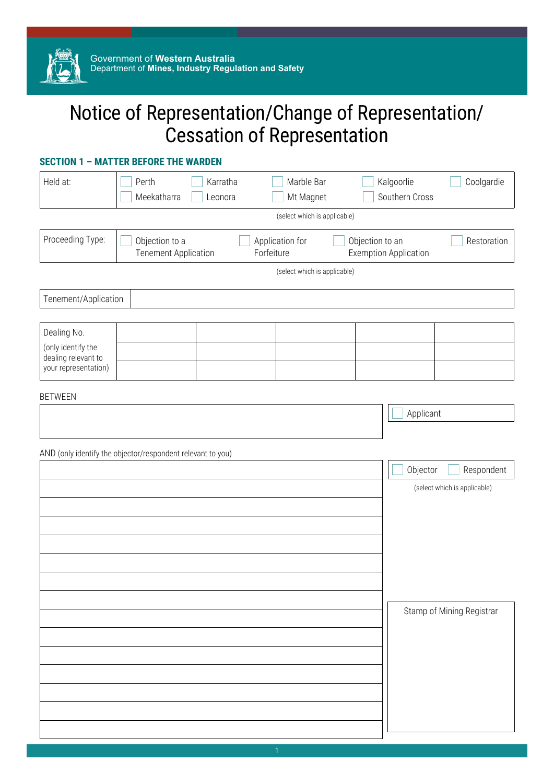

# Notice of Representation/Change of Representation/ Cessation of Representation

# **SECTION 1 – MATTER BEFORE THE WARDEN**

| Held at:                                  | Perth<br>Meekatharra                                        | Karratha<br>Leonora | Marble Bar<br>Mt Magnet       |                 | Kalgoorlie<br>Southern Cross | Coolgardie                   |
|-------------------------------------------|-------------------------------------------------------------|---------------------|-------------------------------|-----------------|------------------------------|------------------------------|
|                                           |                                                             |                     | (select which is applicable)  |                 |                              |                              |
| Proceeding Type:                          | Objection to a<br><b>Tenement Application</b>               |                     | Application for<br>Forfeiture | Objection to an | <b>Exemption Application</b> | Restoration                  |
|                                           |                                                             |                     | (select which is applicable)  |                 |                              |                              |
| Tenement/Application                      |                                                             |                     |                               |                 |                              |                              |
|                                           |                                                             |                     |                               |                 |                              |                              |
| Dealing No.                               |                                                             |                     |                               |                 |                              |                              |
| (only identify the<br>dealing relevant to |                                                             |                     |                               |                 |                              |                              |
| your representation)                      |                                                             |                     |                               |                 |                              |                              |
| <b>BETWEEN</b>                            |                                                             |                     |                               |                 |                              |                              |
|                                           |                                                             |                     |                               |                 | Applicant                    |                              |
|                                           |                                                             |                     |                               |                 |                              |                              |
|                                           | AND (only identify the objector/respondent relevant to you) |                     |                               |                 |                              |                              |
|                                           |                                                             |                     |                               |                 | Objector                     | Respondent                   |
|                                           |                                                             |                     |                               |                 |                              | (select which is applicable) |
|                                           |                                                             |                     |                               |                 |                              |                              |
|                                           |                                                             |                     |                               |                 |                              |                              |
|                                           |                                                             |                     |                               |                 |                              |                              |
|                                           |                                                             |                     |                               |                 |                              |                              |
|                                           |                                                             |                     |                               |                 |                              |                              |
|                                           |                                                             |                     |                               |                 |                              |                              |
|                                           |                                                             |                     |                               |                 |                              | Stamp of Mining Registrar    |
|                                           |                                                             |                     |                               |                 |                              |                              |
|                                           |                                                             |                     |                               |                 |                              |                              |
|                                           |                                                             |                     |                               |                 |                              |                              |
|                                           |                                                             |                     |                               |                 |                              |                              |
|                                           |                                                             |                     |                               |                 |                              |                              |
|                                           |                                                             |                     |                               |                 |                              |                              |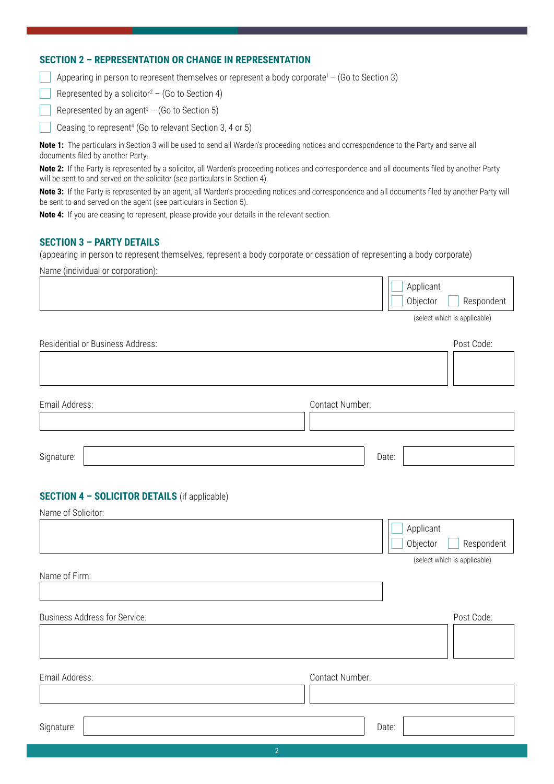### **SECTION 2 – REPRESENTATION OR CHANGE IN REPRESENTATION**

Appearing in person to represent themselves or represent a body corporate<sup>1</sup> – (Go to Section 3)

Represented by a solicitor<sup>2</sup> – (Go to Section 4)

Represented by an agent<sup>3</sup>  $-$  (Go to Section 5)

Ceasing to represent<sup>4</sup> (Go to relevant Section 3, 4 or 5)

**Note 1:** The particulars in Section 3 will be used to send all Warden's proceeding notices and correspondence to the Party and serve all documents filed by another Party.

**Note 2:** If the Party is represented by a solicitor, all Warden's proceeding notices and correspondence and all documents filed by another Party will be sent to and served on the solicitor (see particulars in Section 4).

**Note 3:** If the Party is represented by an agent, all Warden's proceeding notices and correspondence and all documents filed by another Party will be sent to and served on the agent (see particulars in Section 5).

**Note 4:** If you are ceasing to represent, please provide your details in the relevant section.

## **SECTION 3 – PARTY DETAILS**

(appearing in person to represent themselves, represent a body corporate or cessation of representing a body corporate)

Name (individual or corporation):

|                                                      | Applicant                           |
|------------------------------------------------------|-------------------------------------|
|                                                      | Objector<br>Respondent              |
|                                                      | (select which is applicable)        |
| Residential or Business Address:                     | Post Code:                          |
|                                                      |                                     |
| Email Address:                                       | Contact Number:                     |
|                                                      |                                     |
|                                                      |                                     |
| Signature:                                           | Date:                               |
|                                                      |                                     |
| <b>SECTION 4 - SOLICITOR DETAILS (if applicable)</b> |                                     |
| Name of Solicitor:                                   |                                     |
|                                                      | Applicant<br>Objector<br>Respondent |
|                                                      | (select which is applicable)        |
| Name of Firm:                                        |                                     |
|                                                      |                                     |
| <b>Business Address for Service:</b>                 | Post Code:                          |
|                                                      |                                     |
| Email Address:                                       | Contact Number:                     |
|                                                      |                                     |
| Signature:                                           | Date:                               |
| $\overline{2}$                                       |                                     |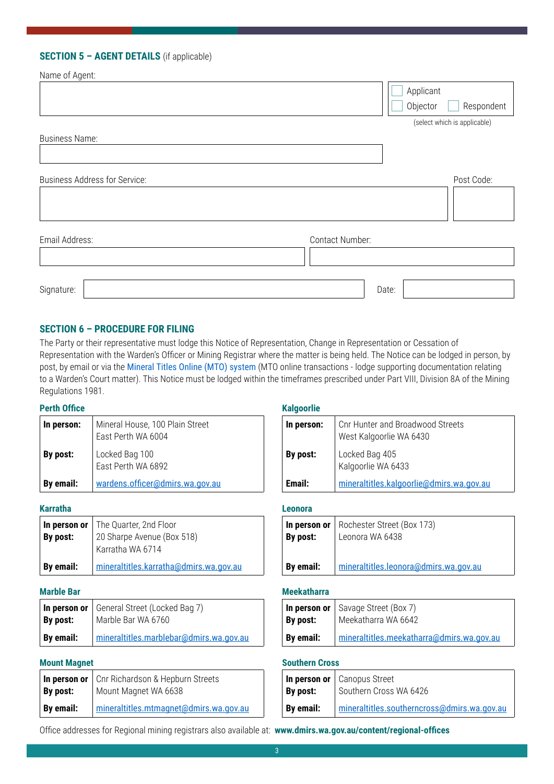# **SECTION 5 – AGENT DETAILS** (if applicable)

| Name of Agent:                       |                              |
|--------------------------------------|------------------------------|
|                                      | Applicant                    |
|                                      | Objector<br>Respondent       |
|                                      | (select which is applicable) |
| <b>Business Name:</b>                |                              |
|                                      |                              |
| <b>Business Address for Service:</b> | Post Code:                   |
|                                      |                              |
| Email Address:                       | Contact Number:              |
|                                      |                              |
| Signature:                           | Date:                        |

### **SECTION 6 – PROCEDURE FOR FILING**

The Party or their representative must lodge this Notice of Representation, Change in Representation or Cessation of Representation with the Warden's Officer or Mining Registrar where the matter is being held. The Notice can be lodged in person, by post, by email or via the [Mineral Titles Online \(MTO\) system](https://www.dmp.wa.gov.au/Mineral-Titles-online-MTO-1464.aspx) (MTO online transactions - lodge supporting documentation relating to a Warden's Court matter). This Notice must be lodged within the timeframes prescribed under Part VIII, Division 8A of the Mining Regulations 1981.

### **Perth Office <b>Kalgoorlie Kalgoorlie**

| In person: | Mineral House, 100 Plain Street<br>East Perth WA 6004 |
|------------|-------------------------------------------------------|
| By post:   | Locked Bag 100<br>East Perth WA 6892                  |
| By email:  | wardens.officer@dmirs.wa.gov.au                       |

### **Karratha Leonora**

|                  | <b>In person or</b> $ $ The Quarter, 2nd Floor |
|------------------|------------------------------------------------|
| <b>By post:</b>  | 20 Sharpe Avenue (Box 518)                     |
|                  | Karratha WA 6714                               |
| <b>By email:</b> | mineraltitles.karratha@dmirs.wa.gov.au         |

|                  | In person or   General Street (Locked Bag 7) |
|------------------|----------------------------------------------|
| By post:         | Marble Bar WA 6760                           |
| <b>By email:</b> | mineraltitles.marblebar@dmirs.wa.gov.au      |

| <b>By post:</b>  | <b>In person or</b>   Cnr Richardson & Hepburn Streets<br>Mount Magnet WA 6638 |
|------------------|--------------------------------------------------------------------------------|
| <b>By email:</b> | mineraltitles.mtmagnet@dmirs.wa.gov.au                                         |

| In person: | Cnr Hunter and Broadwood Streets<br>West Kalgoorlie WA 6430 |
|------------|-------------------------------------------------------------|
| By post:   | Locked Bag 405<br>Kalgoorlie WA 6433                        |
| Email:     | mineraltitles.kalgoorlie@dmirs.wa.gov.au                    |

| By post:  | <b>In person or</b>   Rochester Street (Box 173)<br>Leonora WA 6438 |
|-----------|---------------------------------------------------------------------|
| By email: | mineraltitles.leonora@dmirs.wa.gov.au                               |

### **Marble Bar Meekatharra**

|                  | In person or   Savage Street (Box 7)      |
|------------------|-------------------------------------------|
| <b>By post:</b>  | Meekatharra WA 6642                       |
| <b>By email:</b> | mineraltitles.meekatharra@dmirs.wa.gov.au |

### **Mount Magnet Southern Cross**

| By post:  | In person or $ $ Canopus Street<br>Southern Cross WA 6426 |
|-----------|-----------------------------------------------------------|
| By email: | mineraltitles.southerncross@dmirs.wa.gov.au               |

Office addresses for Regional mining registrars also available at: **[www.dmirs.wa.gov.au/content/regional-offices](http://www.dmirs.wa.gov.au/content/regional-offices)**